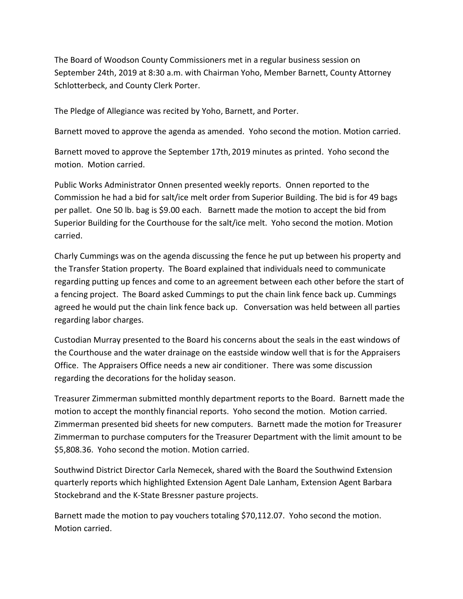The Board of Woodson County Commissioners met in a regular business session on September 24th, 2019 at 8:30 a.m. with Chairman Yoho, Member Barnett, County Attorney Schlotterbeck, and County Clerk Porter.

The Pledge of Allegiance was recited by Yoho, Barnett, and Porter.

Barnett moved to approve the agenda as amended. Yoho second the motion. Motion carried.

Barnett moved to approve the September 17th, 2019 minutes as printed. Yoho second the motion. Motion carried.

Public Works Administrator Onnen presented weekly reports. Onnen reported to the Commission he had a bid for salt/ice melt order from Superior Building. The bid is for 49 bags per pallet. One 50 lb. bag is \$9.00 each. Barnett made the motion to accept the bid from Superior Building for the Courthouse for the salt/ice melt. Yoho second the motion. Motion carried.

Charly Cummings was on the agenda discussing the fence he put up between his property and the Transfer Station property. The Board explained that individuals need to communicate regarding putting up fences and come to an agreement between each other before the start of a fencing project. The Board asked Cummings to put the chain link fence back up. Cummings agreed he would put the chain link fence back up. Conversation was held between all parties regarding labor charges.

Custodian Murray presented to the Board his concerns about the seals in the east windows of the Courthouse and the water drainage on the eastside window well that is for the Appraisers Office. The Appraisers Office needs a new air conditioner. There was some discussion regarding the decorations for the holiday season.

Treasurer Zimmerman submitted monthly department reports to the Board. Barnett made the motion to accept the monthly financial reports. Yoho second the motion. Motion carried. Zimmerman presented bid sheets for new computers. Barnett made the motion for Treasurer Zimmerman to purchase computers for the Treasurer Department with the limit amount to be \$5,808.36. Yoho second the motion. Motion carried.

Southwind District Director Carla Nemecek, shared with the Board the Southwind Extension quarterly reports which highlighted Extension Agent Dale Lanham, Extension Agent Barbara Stockebrand and the K-State Bressner pasture projects.

Barnett made the motion to pay vouchers totaling \$70,112.07. Yoho second the motion. Motion carried.